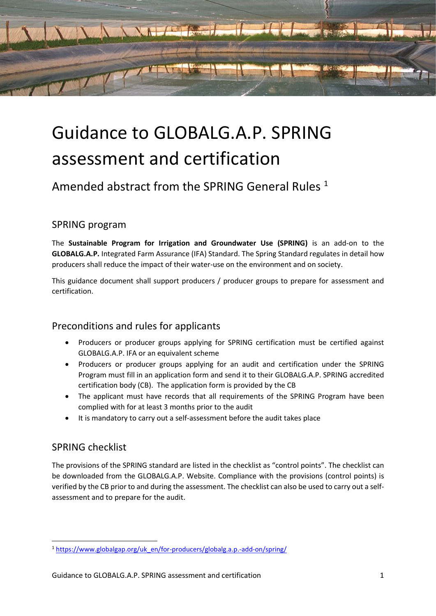

# Guidance to GLOBALG.A.P. SPRING assessment and certification

Amended abstract from the SPRING General Rules<sup>1</sup>

### SPRING program

The **Sustainable Program for Irrigation and Groundwater Use (SPRING)** is an add-on to the **GLOBALG.A.P.** Integrated Farm Assurance (IFA) Standard. The Spring Standard regulates in detail how producers shall reduce the impact of their water-use on the environment and on society.

This guidance document shall support producers / producer groups to prepare for assessment and certification.

### Preconditions and rules for applicants

- Producers or producer groups applying for SPRING certification must be certified against GLOBALG.A.P. IFA or an equivalent scheme
- Producers or producer groups applying for an audit and certification under the SPRING Program must fill in an application form and send it to their GLOBALG.A.P. SPRING accredited certification body (CB). The application form is provided by the CB
- The applicant must have records that all requirements of the SPRING Program have been complied with for at least 3 months prior to the audit
- It is mandatory to carry out a self-assessment before the audit takes place

### SPRING checklist

The provisions of the SPRING standard are listed in the checklist as "control points". The checklist can be downloaded from the GLOBALG.A.P. Website. Compliance with the provisions (control points) is verified by the CB prior to and during the assessment. The checklist can also be used to carry out a selfassessment and to prepare for the audit.

<sup>1</sup> [https://www.globalgap.org/uk\\_en/for-producers/globalg.a.p.-add-on/spring/](https://www.globalgap.org/uk_en/for-producers/globalg.a.p.-add-on/spring/)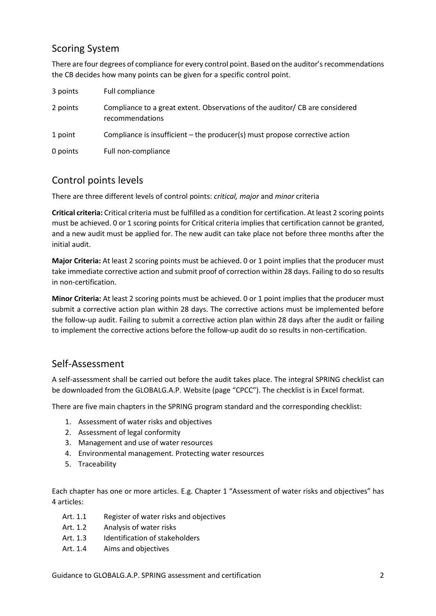### Scoring System

There are four degrees of compliance for every control point. Based on the auditor's recommendations the CB decides how many points can be given for a specific control point.

| 3 points | Full compliance                                                                                |
|----------|------------------------------------------------------------------------------------------------|
| 2 points | Compliance to a great extent. Observations of the auditor/CB are considered<br>recommendations |
| 1 point  | Compliance is insufficient – the producer(s) must propose corrective action                    |
| 0 points | Full non-compliance                                                                            |

## Control points levels

There are three different levels of control points: *critical, major* and *minor* criteria

**Critical criteria:** Critical criteria must be fulfilled as a condition for certification. At least 2 scoring points must be achieved. 0 or 1 scoring points for Critical criteria implies that certification cannot be granted, and a new audit must be applied for. The new audit can take place not before three months after the initial audit.

**Major Criteria:** At least 2 scoring points must be achieved. 0 or 1 point implies that the producer must take immediate corrective action and submit proof of correction within 28 days. Failing to do so results in non-certification.

**Minor Criteria:** At least 2 scoring points must be achieved. 0 or 1 point implies that the producer must submit a corrective action plan within 28 days. The corrective actions must be implemented before the follow-up audit. Failing to submit a corrective action plan within 28 days after the audit or failing to implement the corrective actions before the follow-up audit do so results in non-certification.

### Self-Assessment

A self-assessment shall be carried out before the audit takes place. The integral SPRING checklist can be downloaded from the GLOBALG.A.P. Website (page "CPCC"). The checklist is in Excel format.

There are five main chapters in the SPRING program standard and the corresponding checklist:

- 1. Assessment of water risks and objectives
- 2. Assessment of legal conformity
- 3. Management and use of water resources
- 4. Environmental management. Protecting water resources
- 5. Traceability

Each chapter has one or more articles. E.g. Chapter 1 "Assessment of water risks and objectives" has 4 articles:

- Art. 1.1 Register of water risks and objectives
- Art. 1.2 Analysis of water risks
- Art. 1.3 Identification of stakeholders
- Art. 1.4 Aims and objectives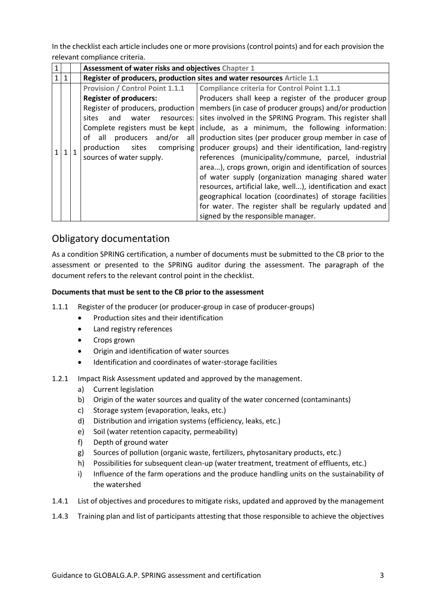In the checklist each article includes one or more provisions (control points) and for each provision the relevant compliance criteria.

|  |              |  | Assessment of water risks and objectives Chapter 1                      |                                                             |  |
|--|--------------|--|-------------------------------------------------------------------------|-------------------------------------------------------------|--|
|  | $\mathbf{1}$ |  | Register of producers, production sites and water resources Article 1.1 |                                                             |  |
|  |              |  | <b>Provision / Control Point 1.1.1</b>                                  | <b>Compliance criteria for Control Point 1.1.1</b>          |  |
|  |              |  | <b>Register of producers:</b>                                           | Producers shall keep a register of the producer group       |  |
|  |              |  | Register of producers, production                                       | members (in case of producer groups) and/or production      |  |
|  |              |  | and<br>water<br>sites<br>resources:                                     | sites involved in the SPRING Program. This register shall   |  |
|  |              |  | Complete registers must be kept                                         | include, as a minimum, the following information:           |  |
|  |              |  | of all producers<br>and/or all                                          | production sites (per producer group member in case of      |  |
|  |              |  | production sites<br>comprising                                          | producer groups) and their identification, land-registry    |  |
|  |              |  | sources of water supply.                                                | references (municipality/commune, parcel, industrial        |  |
|  |              |  |                                                                         | area), crops grown, origin and identification of sources    |  |
|  |              |  |                                                                         | of water supply (organization managing shared water         |  |
|  |              |  |                                                                         | resources, artificial lake, well), identification and exact |  |
|  |              |  |                                                                         | geographical location (coordinates) of storage facilities   |  |
|  |              |  |                                                                         | for water. The register shall be regularly updated and      |  |
|  |              |  |                                                                         | signed by the responsible manager.                          |  |

## Obligatory documentation

As a condition SPRING certification, a number of documents must be submitted to the CB prior to the assessment or presented to the SPRING auditor during the assessment. The paragraph of the document refers to the relevant control point in the checklist.

#### **Documents that must be sent to the CB prior to the assessment**

- 1.1.1 Register of the producer (or producer-group in case of producer-groups)
	- Production sites and their identification
	- Land registry references
	- Crops grown
	- Origin and identification of water sources
	- Identification and coordinates of water-storage facilities
- 1.2.1 Impact Risk Assessment updated and approved by the management.
	- a) Current legislation
	- b) Origin of the water sources and quality of the water concerned (contaminants)
	- c) Storage system (evaporation, leaks, etc.)
	- d) Distribution and irrigation systems (efficiency, leaks, etc.)
	- e) Soil (water retention capacity, permeability)
	- f) Depth of ground water
	- g) Sources of pollution (organic waste, fertilizers, phytosanitary products, etc.)
	- h) Possibilities for subsequent clean-up (water treatment, treatment of effluents, etc.)
	- i) Influence of the farm operations and the produce handling units on the sustainability of the watershed
- 1.4.1 List of objectives and procedures to mitigate risks, updated and approved by the management
- 1.4.3 Training plan and list of participants attesting that those responsible to achieve the objectives